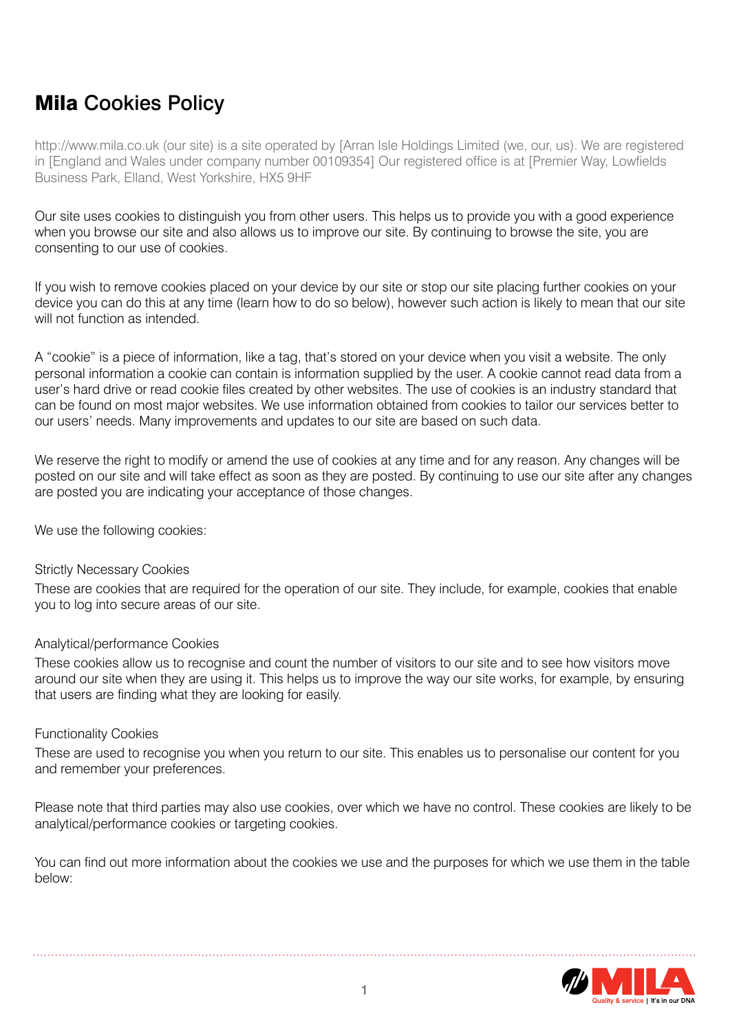# Mila Cookies Policy

http://www.mila.co.uk (our site) is a site operated by [Arran Isle Holdings Limited (we, our, us). We are registered in [England and Wales under company number 00109354] Our registered office is at [Premier Way, Lowfields Business Park, Elland, West Yorkshire, HX5 9HF

Our site uses cookies to distinguish you from other users. This helps us to provide you with a good experience when you browse our site and also allows us to improve our site. By continuing to browse the site, you are consenting to our use of cookies.

If you wish to remove cookies placed on your device by our site or stop our site placing further cookies on your device you can do this at any time (learn how to do so below), however such action is likely to mean that our site will not function as intended.

A "cookie" is a piece of information, like a tag, that's stored on your device when you visit a website. The only personal information a cookie can contain is information supplied by the user. A cookie cannot read data from a user's hard drive or read cookie files created by other websites. The use of cookies is an industry standard that can be found on most major websites. We use information obtained from cookies to tailor our services better to our users' needs. Many improvements and updates to our site are based on such data.

We reserve the right to modify or amend the use of cookies at any time and for any reason. Any changes will be posted on our site and will take effect as soon as they are posted. By continuing to use our site after any changes are posted you are indicating your acceptance of those changes.

We use the following cookies:

### Strictly Necessary Cookies

These are cookies that are required for the operation of our site. They include, for example, cookies that enable you to log into secure areas of our site.

### Analytical/performance Cookies

These cookies allow us to recognise and count the number of visitors to our site and to see how visitors move around our site when they are using it. This helps us to improve the way our site works, for example, by ensuring that users are finding what they are looking for easily.

#### Functionality Cookies

These are used to recognise you when you return to our site. This enables us to personalise our content for you and remember your preferences.

Please note that third parties may also use cookies, over which we have no control. These cookies are likely to be analytical/performance cookies or targeting cookies.

You can find out more information about the cookies we use and the purposes for which we use them in the table below: